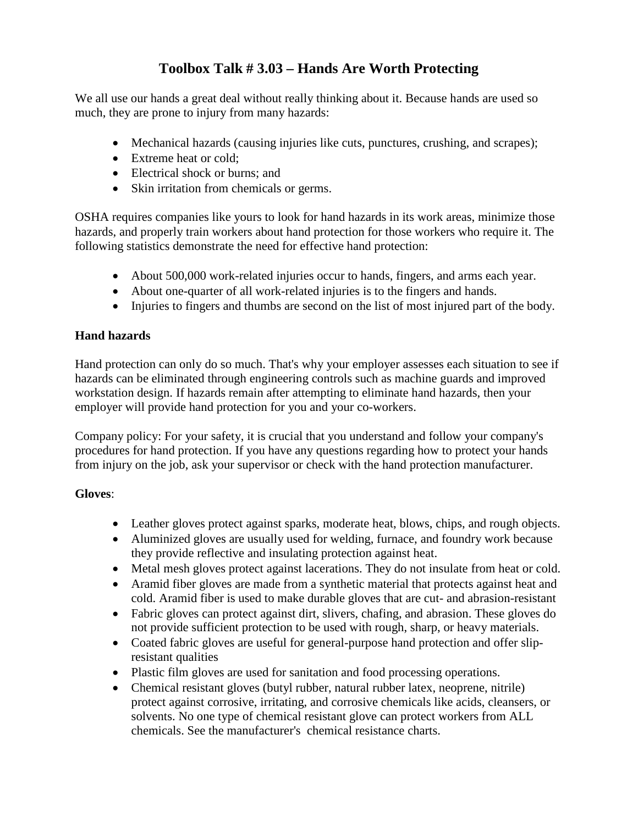## **Toolbox Talk # 3.03 – Hands Are Worth Protecting**

We all use our hands a great deal without really thinking about it. Because hands are used so much, they are prone to injury from many hazards:

- Mechanical hazards (causing injuries like cuts, punctures, crushing, and scrapes);
- Extreme heat or cold;
- Electrical shock or burns; and
- Skin irritation from chemicals or germs.

OSHA requires companies like yours to look for hand hazards in its work areas, minimize those hazards, and properly train workers about hand protection for those workers who require it. The following statistics demonstrate the need for effective hand protection:

- About 500,000 work-related injuries occur to hands, fingers, and arms each year.
- About one-quarter of all work-related injuries is to the fingers and hands.
- Injuries to fingers and thumbs are second on the list of most injured part of the body.

## **Hand hazards**

Hand protection can only do so much. That's why your employer assesses each situation to see if hazards can be eliminated through engineering controls such as machine guards and improved workstation design. If hazards remain after attempting to eliminate hand hazards, then your employer will provide hand protection for you and your co-workers.

Company policy: For your safety, it is crucial that you understand and follow your company's procedures for hand protection. If you have any questions regarding how to protect your hands from injury on the job, ask your supervisor or check with the hand protection manufacturer.

## **Gloves**:

- Leather gloves protect against sparks, moderate heat, blows, chips, and rough objects.
- Aluminized gloves are usually used for welding, furnace, and foundry work because they provide reflective and insulating protection against heat.
- Metal mesh gloves protect against lacerations. They do not insulate from heat or cold.
- Aramid fiber gloves are made from a synthetic material that protects against heat and cold. Aramid fiber is used to make durable gloves that are cut- and abrasion-resistant
- Fabric gloves can protect against dirt, slivers, chafing, and abrasion. These gloves do not provide sufficient protection to be used with rough, sharp, or heavy materials.
- Coated fabric gloves are useful for general-purpose hand protection and offer slipresistant qualities
- Plastic film gloves are used for sanitation and food processing operations.
- Chemical resistant gloves (butyl rubber, natural rubber latex, neoprene, nitrile) protect against corrosive, irritating, and corrosive chemicals like acids, cleansers, or solvents. No one type of chemical resistant glove can protect workers from ALL chemicals. See the manufacturer's chemical resistance charts.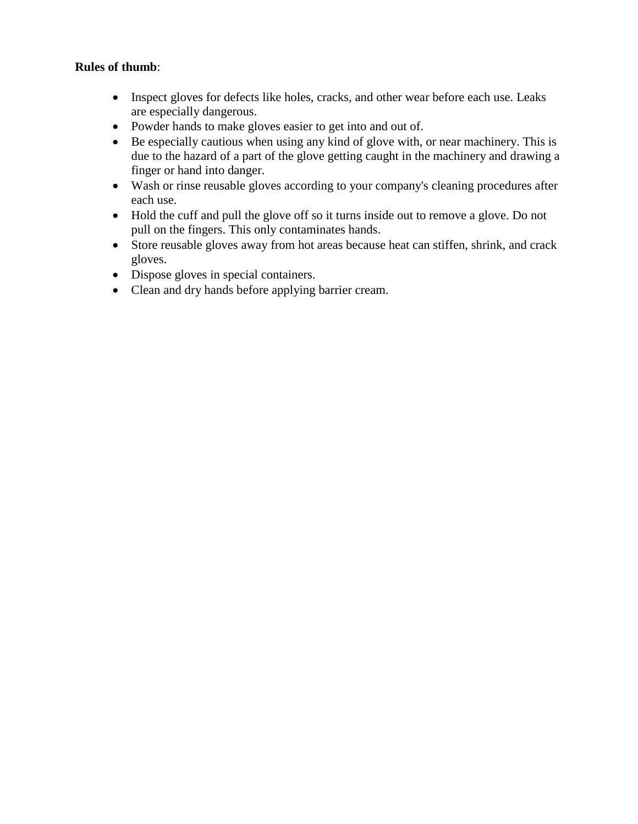#### **Rules of thumb**:

- Inspect gloves for defects like holes, cracks, and other wear before each use. Leaks are especially dangerous.
- Powder hands to make gloves easier to get into and out of.
- Be especially cautious when using any kind of glove with, or near machinery. This is due to the hazard of a part of the glove getting caught in the machinery and drawing a finger or hand into danger.
- Wash or rinse reusable gloves according to your company's cleaning procedures after each use.
- Hold the cuff and pull the glove off so it turns inside out to remove a glove. Do not pull on the fingers. This only contaminates hands.
- Store reusable gloves away from hot areas because heat can stiffen, shrink, and crack gloves.
- Dispose gloves in special containers.
- Clean and dry hands before applying barrier cream.